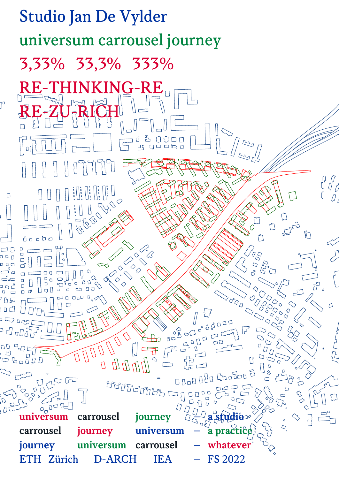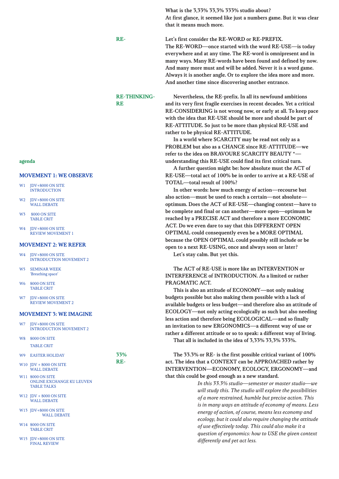What is the 3,33% 33,3% 333% studio about?

At first glance, it seemed like just a numbers game. But it was clear that it means much more.

#### Let's first consider the RE-WORD or RE-PREFIX.

The RE-WORD—once started with the word RE-USE—is today everywhere and at any time. The RE-word is omnipresent and in many ways. Many RE-words have been found and defined by now. And many more must and will be added. Never it is a word game. Always it is another angle. Or to explore the idea more and more. And another time since discovering another entrance.

## RE-THINKING-**RE**

RE-

Nevertheless, the RE-prefix. In all its newfound ambitions and its very first fragile exercises in recent decades. Yet a critical RE-CONSIDERING is not wrong now, or early at all. To keep pace with the idea that RE-USE should be more and should be part of RE-ATTITUDE. So just to be more than physical RE-USE and rather to be physical RE-ATTITUDE.

In a world where SCARCITY may be read not only as a PROBLEM but also as a CHANCE since RE-ATTITUDE—we refer to the idea on BR AVOURE SCARCITY BEAUTY \*understanding this RE-USE could find its first critical turn.

A further question might be: how absolute must the ACT of RE-USE—total act of 100% be in order to arrive at a RE-USE of TOTAL—total result of 100%?

In other words: how much energy of action—recourse but also action—must be used to reach a certain—not absolute optimum. Does the ACT of RE-USE—changing context—have to be complete and final or can another—more open—optimum be reached by a PRECISE ACT and therefore a more ECONOMIC ACT. Do we even dare to say that this DIFFERENT OPEN OPTIMAL could consequently even be a MORE OPTIMAL because the OPEN OPTIMAL could possibly still include or be open to a next RE-USING, once and always soon or later?

Let's stay calm. But yet this.

The ACT of RE-USE is more like an INTERVENTION or INTERFERENCE of INTRODUCTION. As a limited or rather PRAGMATIC ACT.

This is also an attitude of ECONOMY—not only making budgets possible but also making them possible with a lack of available budgets or less budget—and therefore also an attitude of ECOLOGY—not only acting ecologically as such but also needing less action and therefore being ECOLOGICAL—and so finally an invitation to new ERGONOMICS—a different way of use or rather a different attitude or so to speak: a different way of living. That all is included in the idea of 3,33% 33,3% 333%.

The 33.3% or RE- is the first possible critical variant of 100% act. The idea that a CONTEXT can be APPROACHED rather by INTERVENTION—ECONOMY, ECOLOGY, ERGONOMY—and that this could be good enough as a new standard.

> *In this 33.3% studio—semester or master studio—we will study this. The studio will explore the possibilities of a more restrained, humble but precise action. This is in many ways an attitude of economy of means. Less energy of action, of course, means less economy and ecology, but it could also require changing the attitude of use effectively today. This could also make it a question of ergonomics: how to USE the given context differently and yet act less.*

### agenda

### MOVEMENT 1: WE OBSERVE

- W1 IDV+8000 ON SITE **INTRODUCTION**
- W2 JDV+8000 ON SITE ,<br>WALL DEBATE
- W3 8000 ON SITE TABLE CRIT
- W4 IDV+8000 ON SITE REVIEW MOVEMENT 1

## MOVEMENT 2: WE REFER

- W4 IDV+8000 ON SITE INTRODUCTION MOVEMENT 2
- W5 SEMINAR WEEK 'Breathing space'
- W6 8000 ON SITE TABLE CRIT
- W7 IDV+8000 ON SITE REVIEW MOVEMENT 2

# MOVEMENT 3: WE IMAGINE

- W7 IDV+8000 ON SITE INTRODUCTION MOVEMENT 2
- W8 8000 ON SITE TABLE CRIT
- W9 EASTER HOLIDAY 33%

RE-

- W10 JDV + 8000 ON SITE WALL DEBATE
- W11 8000 ON SITE ONLINE EXCHANGE KU LEUVEN TABLE TALKS
- W12 IDV + 8000 ON SITE WALL DEBATE
- W13 JDV+8000 ON SITE WALL DEBATE
- W14 8000 ON SITE TABLE CRIT
- W15 JDV+8000 ON SITE FINAL REVIEW